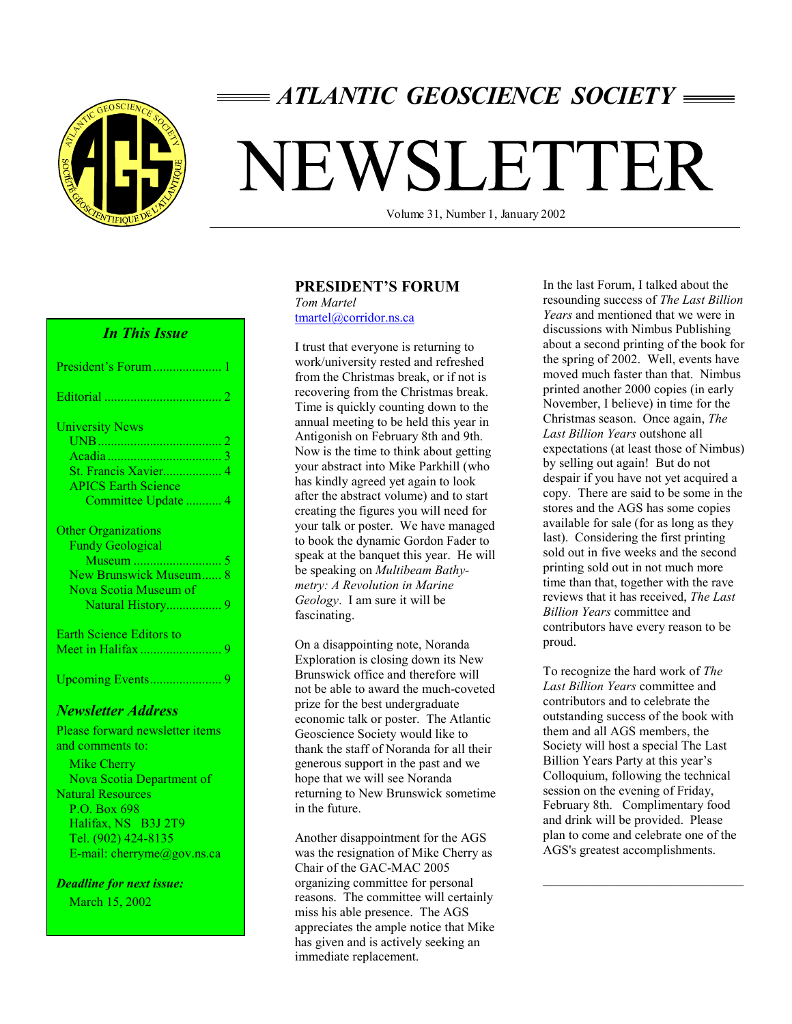

## *ATLANTIC GEOSCIENCE SOCIETY*

# NEWSLETTER

Volume 31, Number 1, January 2002

#### *In This Issue*

| President's Forum                                  |  |
|----------------------------------------------------|--|
| Editorial.                                         |  |
| <b>University News</b>                             |  |
| $\equiv$ UNB                                       |  |
| Acadia                                             |  |
| St. Francis Xavier                                 |  |
| <b>APICS Earth Science</b>                         |  |
| Committee Update.                                  |  |
|                                                    |  |
|                                                    |  |
|                                                    |  |
| <b>Other Organizations</b>                         |  |
| <b>Fundy Geological</b>                            |  |
| Museum                                             |  |
| New Brunswick Museum 8                             |  |
| Nova Scotia Museum of                              |  |
| Natural History                                    |  |
|                                                    |  |
| <b>Earth Science Editors to</b><br>Meet in Halifax |  |

Upcoming Events...................... 9

#### *Newsletter Address*

Please forward newsletter items and comments to:

 Mike Cherry Nova Scotia Department of Natural Resources P.O. Box 698 Halifax, NS B3J 2T9 Tel. (902) 424-8135 E-mail: cherryme@gov.ns.ca

*Deadline for next issue:* March 15, 2002

#### **PRESIDENT'S FORUM**

*Tom Martel*  tmartel@corridor.ns.ca

I trust that everyone is returning to work/university rested and refreshed from the Christmas break, or if not is recovering from the Christmas break. Time is quickly counting down to the annual meeting to be held this year in Antigonish on February 8th and 9th. Now is the time to think about getting your abstract into Mike Parkhill (who has kindly agreed yet again to look after the abstract volume) and to start creating the figures you will need for your talk or poster. We have managed to book the dynamic Gordon Fader to speak at the banquet this year. He will be speaking on *Multibeam Bathymetry: A Revolution in Marine Geology*. I am sure it will be fascinating.

On a disappointing note, Noranda Exploration is closing down its New Brunswick office and therefore will not be able to award the much-coveted prize for the best undergraduate economic talk or poster. The Atlantic Geoscience Society would like to thank the staff of Noranda for all their generous support in the past and we hope that we will see Noranda returning to New Brunswick sometime in the future.

Another disappointment for the AGS was the resignation of Mike Cherry as Chair of the GAC-MAC 2005 organizing committee for personal reasons. The committee will certainly miss his able presence. The AGS appreciates the ample notice that Mike has given and is actively seeking an immediate replacement.

In the last Forum, I talked about the resounding success of *The Last Billion Years* and mentioned that we were in discussions with Nimbus Publishing about a second printing of the book for the spring of 2002. Well, events have moved much faster than that. Nimbus printed another 2000 copies (in early November, I believe) in time for the Christmas season. Once again, *The Last Billion Years* outshone all expectations (at least those of Nimbus) by selling out again! But do not despair if you have not yet acquired a copy. There are said to be some in the stores and the AGS has some copies available for sale (for as long as they last). Considering the first printing sold out in five weeks and the second printing sold out in not much more time than that, together with the rave reviews that it has received, *The Last Billion Years* committee and contributors have every reason to be proud.

To recognize the hard work of *The Last Billion Years* committee and contributors and to celebrate the outstanding success of the book with them and all AGS members, the Society will host a special The Last Billion Years Party at this year's Colloquium, following the technical session on the evening of Friday, February 8th. Complimentary food and drink will be provided. Please plan to come and celebrate one of the AGS's greatest accomplishments.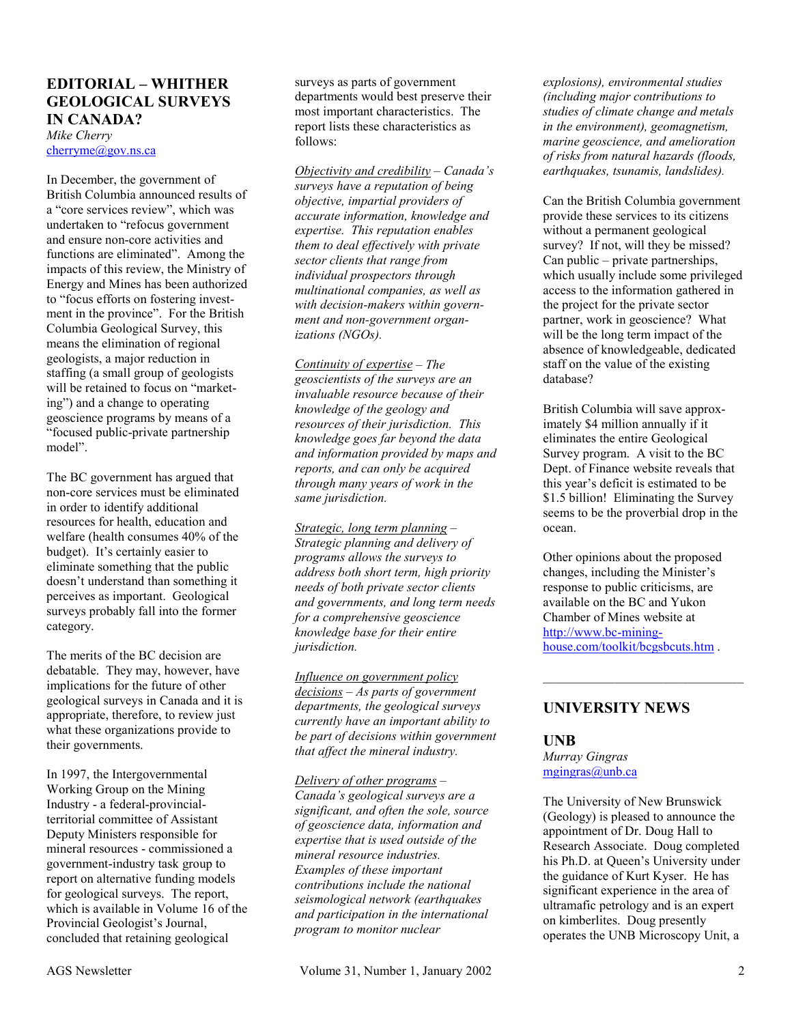#### **EDITORIAL – WHITHER GEOLOGICAL SURVEYS IN CANADA?**

*Mike Cherry*  cherryme@gov.ns.ca

In December, the government of British Columbia announced results of a "core services review", which was undertaken to "refocus government and ensure non-core activities and functions are eliminated". Among the impacts of this review, the Ministry of Energy and Mines has been authorized to "focus efforts on fostering investment in the province". For the British Columbia Geological Survey, this means the elimination of regional geologists, a major reduction in staffing (a small group of geologists will be retained to focus on "marketing") and a change to operating geoscience programs by means of a "focused public-private partnership model".

The BC government has argued that non-core services must be eliminated in order to identify additional resources for health, education and welfare (health consumes 40% of the budget). It's certainly easier to eliminate something that the public doesn't understand than something it perceives as important. Geological surveys probably fall into the former category.

The merits of the BC decision are debatable. They may, however, have implications for the future of other geological surveys in Canada and it is appropriate, therefore, to review just what these organizations provide to their governments.

In 1997, the Intergovernmental Working Group on the Mining Industry - a federal-provincialterritorial committee of Assistant Deputy Ministers responsible for mineral resources - commissioned a government-industry task group to report on alternative funding models for geological surveys. The report, which is available in Volume 16 of the Provincial Geologist's Journal, concluded that retaining geological

surveys as parts of government departments would best preserve their most important characteristics. The report lists these characteristics as follows:

*Objectivity and credibility – Canada's surveys have a reputation of being objective, impartial providers of accurate information, knowledge and expertise. This reputation enables them to deal effectively with private sector clients that range from individual prospectors through multinational companies, as well as with decision-makers within government and non-government organizations (NGOs).* 

*Continuity of expertise – The geoscientists of the surveys are an invaluable resource because of their knowledge of the geology and resources of their jurisdiction. This knowledge goes far beyond the data and information provided by maps and reports, and can only be acquired through many years of work in the same jurisdiction.* 

*Strategic, long term planning – Strategic planning and delivery of programs allows the surveys to address both short term, high priority needs of both private sector clients and governments, and long term needs for a comprehensive geoscience knowledge base for their entire jurisdiction.* 

*Influence on government policy decisions – As parts of government departments, the geological surveys currently have an important ability to be part of decisions within government that affect the mineral industry.* 

*Delivery of other programs – Canada's geological surveys are a significant, and often the sole, source of geoscience data, information and expertise that is used outside of the mineral resource industries. Examples of these important contributions include the national seismological network (earthquakes and participation in the international program to monitor nuclear* 

*explosions), environmental studies (including major contributions to studies of climate change and metals in the environment), geomagnetism, marine geoscience, and amelioration of risks from natural hazards (floods, earthquakes, tsunamis, landslides).* 

Can the British Columbia government provide these services to its citizens without a permanent geological survey? If not, will they be missed? Can public – private partnerships, which usually include some privileged access to the information gathered in the project for the private sector partner, work in geoscience? What will be the long term impact of the absence of knowledgeable, dedicated staff on the value of the existing database?

British Columbia will save approximately \$4 million annually if it eliminates the entire Geological Survey program. A visit to the BC Dept. of Finance website reveals that this year's deficit is estimated to be \$1.5 billion! Eliminating the Survey seems to be the proverbial drop in the ocean.

Other opinions about the proposed changes, including the Minister's response to public criticisms, are available on the BC and Yukon Chamber of Mines website at http://www.bc-mininghouse.com/toolkit/bcgsbcuts.htm .

 $\overline{\phantom{a}}$  , and the set of the set of the set of the set of the set of the set of the set of the set of the set of the set of the set of the set of the set of the set of the set of the set of the set of the set of the s

#### **UNIVERSITY NEWS**

#### **UNB**

*Murray Gingras*  mgingras@unb.ca

The University of New Brunswick (Geology) is pleased to announce the appointment of Dr. Doug Hall to Research Associate. Doug completed his Ph.D. at Queen's University under the guidance of Kurt Kyser. He has significant experience in the area of ultramafic petrology and is an expert on kimberlites. Doug presently operates the UNB Microscopy Unit, a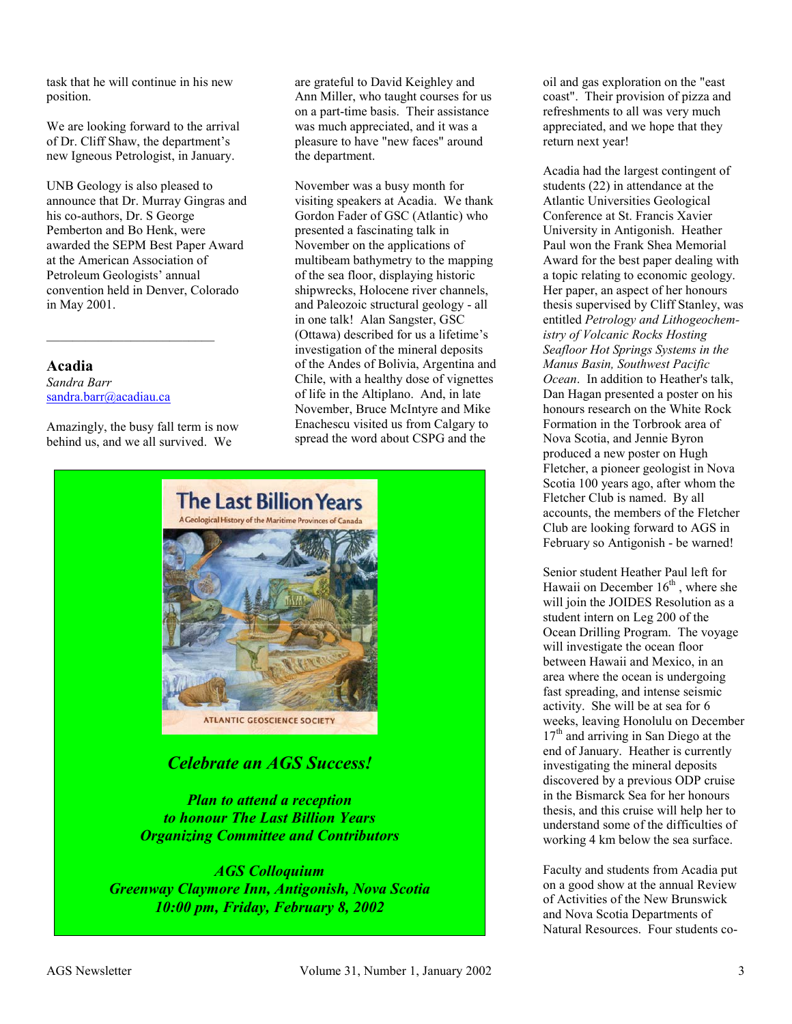task that he will continue in his new position.

We are looking forward to the arrival of Dr. Cliff Shaw, the department's new Igneous Petrologist, in January.

UNB Geology is also pleased to announce that Dr. Murray Gingras and his co-authors, Dr. S George Pemberton and Bo Henk, were awarded the SEPM Best Paper Award at the American Association of Petroleum Geologists' annual convention held in Denver, Colorado in May 2001.

**Acadia**  *Sandra Barr*  sandra.barr@acadiau.ca

Amazingly, the busy fall term is now behind us, and we all survived. We

 $\mathcal{L}_\text{max}$  , where  $\mathcal{L}_\text{max}$  and  $\mathcal{L}_\text{max}$ 

are grateful to David Keighley and Ann Miller, who taught courses for us on a part-time basis. Their assistance was much appreciated, and it was a pleasure to have "new faces" around the department.

November was a busy month for visiting speakers at Acadia. We thank Gordon Fader of GSC (Atlantic) who presented a fascinating talk in November on the applications of multibeam bathymetry to the mapping of the sea floor, displaying historic shipwrecks, Holocene river channels, and Paleozoic structural geology - all in one talk! Alan Sangster, GSC (Ottawa) described for us a lifetime's investigation of the mineral deposits of the Andes of Bolivia, Argentina and Chile, with a healthy dose of vignettes of life in the Altiplano. And, in late November, Bruce McIntyre and Mike Enachescu visited us from Calgary to spread the word about CSPG and the



*Celebrate an AGS Success!* 

*Plan to attend a reception to honour The Last Billion Years Organizing Committee and Contributors* 

*AGS Colloquium Greenway Claymore Inn, Antigonish, Nova Scotia 10:00 pm, Friday, February 8, 2002* 

oil and gas exploration on the "east coast". Their provision of pizza and refreshments to all was very much appreciated, and we hope that they return next year!

Acadia had the largest contingent of students (22) in attendance at the Atlantic Universities Geological Conference at St. Francis Xavier University in Antigonish. Heather Paul won the Frank Shea Memorial Award for the best paper dealing with a topic relating to economic geology. Her paper, an aspect of her honours thesis supervised by Cliff Stanley, was entitled *Petrology and Lithogeochemistry of Volcanic Rocks Hosting Seafloor Hot Springs Systems in the Manus Basin, Southwest Pacific Ocean*. In addition to Heather's talk, Dan Hagan presented a poster on his honours research on the White Rock Formation in the Torbrook area of Nova Scotia, and Jennie Byron produced a new poster on Hugh Fletcher, a pioneer geologist in Nova Scotia 100 years ago, after whom the Fletcher Club is named. By all accounts, the members of the Fletcher Club are looking forward to AGS in February so Antigonish - be warned!

Senior student Heather Paul left for Hawaii on December  $16<sup>th</sup>$ , where she will join the JOIDES Resolution as a student intern on Leg 200 of the Ocean Drilling Program. The voyage will investigate the ocean floor between Hawaii and Mexico, in an area where the ocean is undergoing fast spreading, and intense seismic activity. She will be at sea for 6 weeks, leaving Honolulu on December  $17<sup>th</sup>$  and arriving in San Diego at the end of January. Heather is currently investigating the mineral deposits discovered by a previous ODP cruise in the Bismarck Sea for her honours thesis, and this cruise will help her to understand some of the difficulties of working 4 km below the sea surface.

Faculty and students from Acadia put on a good show at the annual Review of Activities of the New Brunswick and Nova Scotia Departments of Natural Resources. Four students co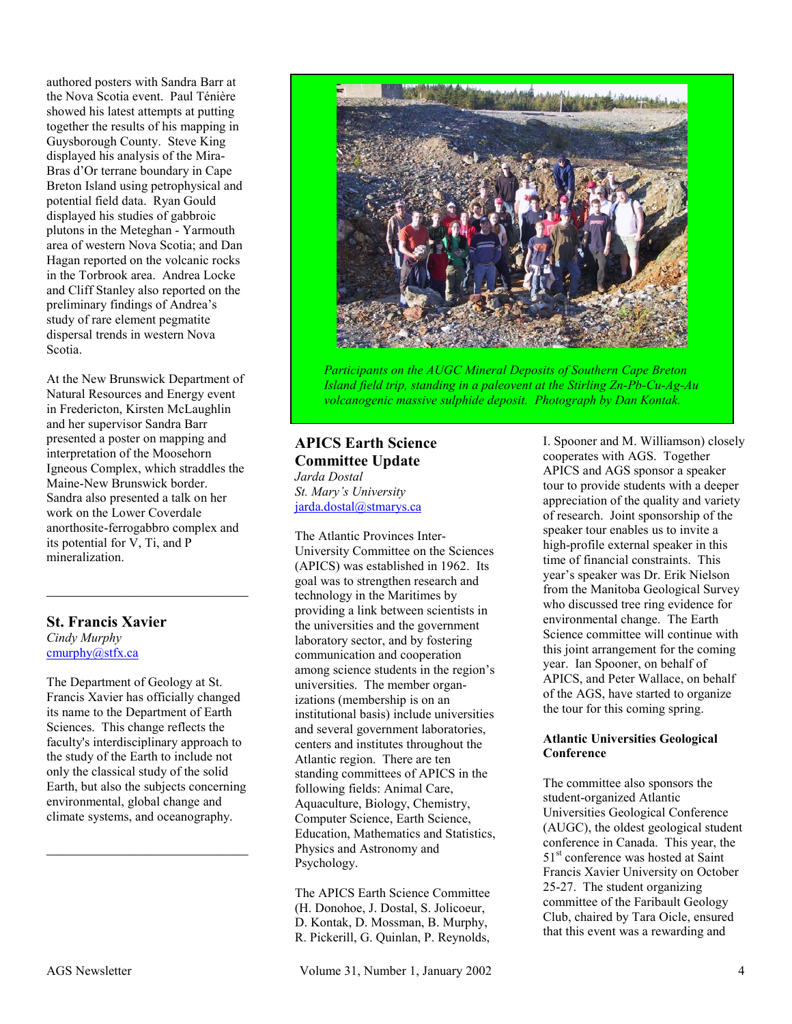authored posters with Sandra Barr at the Nova Scotia event. Paul Ténière showed his latest attempts at putting together the results of his mapping in Guysborough County. Steve King displayed his analysis of the Mira-Bras d'Or terrane boundary in Cape Breton Island using petrophysical and potential field data. Ryan Gould displayed his studies of gabbroic plutons in the Meteghan - Yarmouth area of western Nova Scotia; and Dan Hagan reported on the volcanic rocks in the Torbrook area. Andrea Locke and Cliff Stanley also reported on the preliminary findings of Andrea's study of rare element pegmatite dispersal trends in western Nova Scotia.

At the New Brunswick Department of Natural Resources and Energy event in Fredericton, Kirsten McLaughlin and her supervisor Sandra Barr presented a poster on mapping and interpretation of the Moosehorn Igneous Complex, which straddles the Maine-New Brunswick border. Sandra also presented a talk on her work on the Lower Coverdale anorthosite-ferrogabbro complex and its potential for V, Ti, and P mineralization.

 $\mathcal{L}_\text{max}$  , where  $\mathcal{L}_\text{max}$  and  $\mathcal{L}_\text{max}$ 

#### **St. Francis Xavier**  *Cindy Murphy*  cmurphy@stfx.ca

The Department of Geology at St. Francis Xavier has officially changed its name to the Department of Earth Sciences. This change reflects the faculty's interdisciplinary approach to the study of the Earth to include not only the classical study of the solid Earth, but also the subjects concerning environmental, global change and climate systems, and oceanography.

 $\mathcal{L}_\text{max}$  , where  $\mathcal{L}_\text{max}$  and  $\mathcal{L}_\text{max}$ 



*Participants on the AUGC Mineral Deposits of Southern Cape Breton Island field trip, standing in a paleovent at the Stirling Zn-Pb-Cu-Ag-Au volcanogenic massive sulphide deposit. Photograph by Dan Kontak.* 

#### **APICS Earth Science Committee Update**  *Jarda Dostal*

*St. Mary's University*  jarda.dostal@stmarys.ca

The Atlantic Provinces Inter-University Committee on the Sciences (APICS) was established in 1962. Its goal was to strengthen research and technology in the Maritimes by providing a link between scientists in the universities and the government laboratory sector, and by fostering communication and cooperation among science students in the region's universities. The member organizations (membership is on an institutional basis) include universities and several government laboratories, centers and institutes throughout the Atlantic region. There are ten standing committees of APICS in the following fields: Animal Care, Aquaculture, Biology, Chemistry, Computer Science, Earth Science, Education, Mathematics and Statistics, Physics and Astronomy and Psychology.

The APICS Earth Science Committee (H. Donohoe, J. Dostal, S. Jolicoeur, D. Kontak, D. Mossman, B. Murphy, R. Pickerill, G. Quinlan, P. Reynolds,

AGS Newsletter  $V$ olume 31, Number 1, January 2002 4

I. Spooner and M. Williamson) closely cooperates with AGS. Together APICS and AGS sponsor a speaker tour to provide students with a deeper appreciation of the quality and variety of research. Joint sponsorship of the speaker tour enables us to invite a high-profile external speaker in this time of financial constraints. This year's speaker was Dr. Erik Nielson from the Manitoba Geological Survey who discussed tree ring evidence for environmental change. The Earth Science committee will continue with this joint arrangement for the coming year. Ian Spooner, on behalf of APICS, and Peter Wallace, on behalf of the AGS, have started to organize the tour for this coming spring.

#### **Atlantic Universities Geological Conference**

The committee also sponsors the student-organized Atlantic Universities Geological Conference (AUGC), the oldest geological student conference in Canada. This year, the 51<sup>st</sup> conference was hosted at Saint Francis Xavier University on October 25-27. The student organizing committee of the Faribault Geology Club, chaired by Tara Oicle, ensured that this event was a rewarding and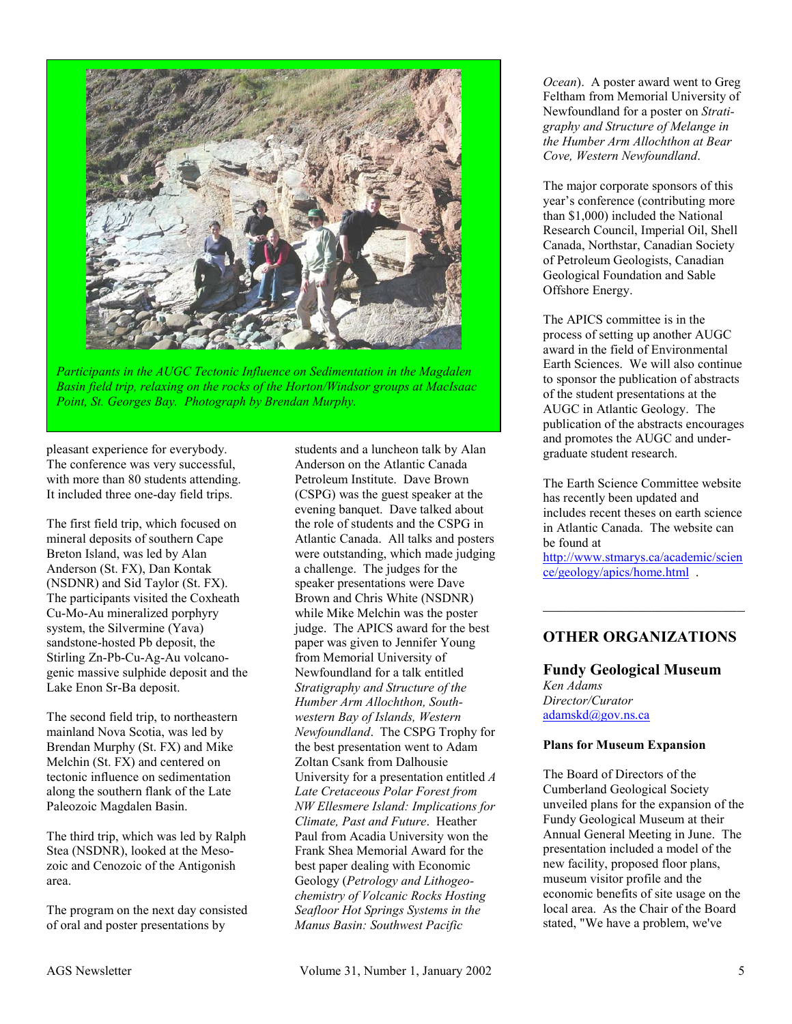

*Participants in the AUGC Tectonic Influence on Sedimentation in the Magdalen Basin field trip, relaxing on the rocks of the Horton/Windsor groups at MacIsaac Point, St. Georges Bay. Photograph by Brendan Murphy.* 

pleasant experience for everybody. The conference was very successful, with more than 80 students attending. It included three one-day field trips.

The first field trip, which focused on mineral deposits of southern Cape Breton Island, was led by Alan Anderson (St. FX), Dan Kontak (NSDNR) and Sid Taylor (St. FX). The participants visited the Coxheath Cu-Mo-Au mineralized porphyry system, the Silvermine (Yava) sandstone-hosted Pb deposit, the Stirling Zn-Pb-Cu-Ag-Au volcanogenic massive sulphide deposit and the Lake Enon Sr-Ba deposit.

The second field trip, to northeastern mainland Nova Scotia, was led by Brendan Murphy (St. FX) and Mike Melchin (St. FX) and centered on tectonic influence on sedimentation along the southern flank of the Late Paleozoic Magdalen Basin.

The third trip, which was led by Ralph Stea (NSDNR), looked at the Mesozoic and Cenozoic of the Antigonish area.

The program on the next day consisted of oral and poster presentations by

students and a luncheon talk by Alan Anderson on the Atlantic Canada Petroleum Institute. Dave Brown (CSPG) was the guest speaker at the evening banquet. Dave talked about the role of students and the CSPG in Atlantic Canada. All talks and posters were outstanding, which made judging a challenge. The judges for the speaker presentations were Dave Brown and Chris White (NSDNR) while Mike Melchin was the poster judge. The APICS award for the best paper was given to Jennifer Young from Memorial University of Newfoundland for a talk entitled *Stratigraphy and Structure of the Humber Arm Allochthon, Southwestern Bay of Islands, Western Newfoundland*. The CSPG Trophy for the best presentation went to Adam Zoltan Csank from Dalhousie University for a presentation entitled *A Late Cretaceous Polar Forest from NW Ellesmere Island: Implications for Climate, Past and Future*. Heather Paul from Acadia University won the Frank Shea Memorial Award for the best paper dealing with Economic Geology (*Petrology and Lithogeochemistry of Volcanic Rocks Hosting Seafloor Hot Springs Systems in the Manus Basin: Southwest Pacific* 

*Ocean*). A poster award went to Greg Feltham from Memorial University of Newfoundland for a poster on *Stratigraphy and Structure of Melange in the Humber Arm Allochthon at Bear Cove, Western Newfoundland*.

The major corporate sponsors of this year's conference (contributing more than \$1,000) included the National Research Council, Imperial Oil, Shell Canada, Northstar, Canadian Society of Petroleum Geologists, Canadian Geological Foundation and Sable Offshore Energy.

The APICS committee is in the process of setting up another AUGC award in the field of Environmental Earth Sciences. We will also continue to sponsor the publication of abstracts of the student presentations at the AUGC in Atlantic Geology. The publication of the abstracts encourages and promotes the AUGC and undergraduate student research.

The Earth Science Committee website has recently been updated and includes recent theses on earth science in Atlantic Canada. The website can be found at

http://www.stmarys.ca/academic/scien ce/geology/apics/home.html .

 $\mathcal{L}_\text{max}$ 

#### **OTHER ORGANIZATIONS**

**Fundy Geological Museum**  *Ken Adams Director/Curator*  adamskd@gov.ns.ca

#### **Plans for Museum Expansion**

The Board of Directors of the Cumberland Geological Society unveiled plans for the expansion of the Fundy Geological Museum at their Annual General Meeting in June. The presentation included a model of the new facility, proposed floor plans, museum visitor profile and the economic benefits of site usage on the local area. As the Chair of the Board stated, "We have a problem, we've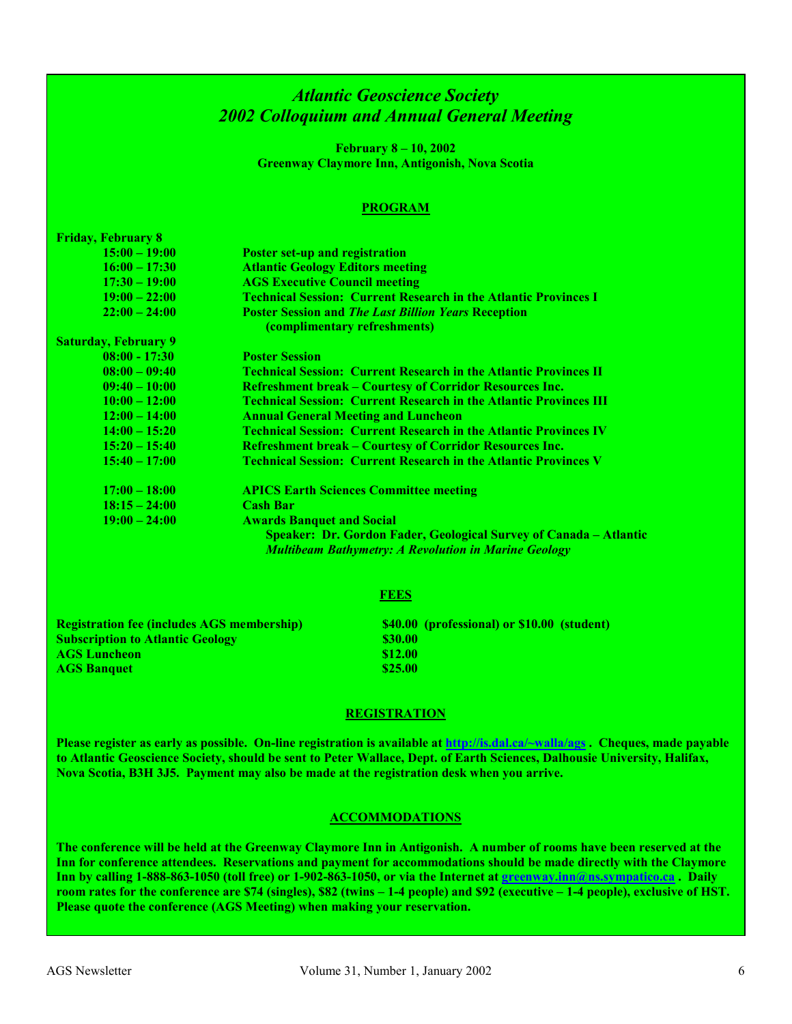### *Atlantic Geoscience Society 2002 Colloquium and Annual General Meeting*

**February 8 – 10, 2002 Greenway Claymore Inn, Antigonish, Nova Scotia** 

#### **PROGRAM**

| <b>Friday, February 8</b>                            |                                                                          |
|------------------------------------------------------|--------------------------------------------------------------------------|
| $15:00 - 19:00$                                      | <b>Poster set-up and registration</b>                                    |
| $16:00 - 17:30$                                      | <b>Atlantic Geology Editors meeting</b>                                  |
| $17:30 - 19:00$                                      | <b>AGS Executive Council meeting</b>                                     |
| $19:00 - 22:00$                                      | <b>Technical Session: Current Research in the Atlantic Provinces I</b>   |
| $22:00 - 24:00$                                      | <b>Poster Session and The Last Billion Years Reception</b>               |
|                                                      | (complimentary refreshments)                                             |
| <b>Saturday, February 9</b>                          |                                                                          |
| $08:00 = 17:30$                                      | <b>Poster Session</b>                                                    |
| $08:00 - 09:40$                                      | <u> Technical Session: Current Research in the Atlantic Provinces II</u> |
| $09:40 - 10:00$                                      | <b>Refreshment break - Courtesy of Corridor Resources Inc.</b>           |
| $10:00 - 12:00$                                      | <b>Technical Session: Current Research in the Atlantic Provinces III</b> |
| $12:00 - 14:00$                                      | <b>Annual General Meeting and Luncheon</b>                               |
| $14:00 - 15:20$                                      | <b>Technical Session: Current Research in the Atlantic Provinces IV</b>  |
| $15:20 - 15:40$                                      | <b>Refreshment break - Courtesy of Corridor Resources Inc.</b>           |
| $15:40 - 17:00$                                      | <b>Technical Session: Current Research in the Atlantic Provinces V</b>   |
|                                                      |                                                                          |
| $17:00 - 18:00$                                      | <b>APICS Earth Sciences Committee meeting</b>                            |
| $18:15 - 24:00$                                      | <b>Cash Bar</b>                                                          |
| $19:00 - 24:00$                                      | <b>Awards Banquet and Social</b>                                         |
|                                                      | <b>Speaker: Dr. Gordon Fader, Geological Survey of Canada - Atlantic</b> |
|                                                      | <b>Multibeam Bathymetry: A Revolution in Marine Geology</b>              |
|                                                      |                                                                          |
|                                                      |                                                                          |
|                                                      | FEES                                                                     |
|                                                      |                                                                          |
| Designation for Construction ACC months and infinity | $0.40.00$ (mass formal and $0.00$ (and $0.00$ )                          |

**Registration fee (includes AGS membership) \$40.00 (professional) or \$10.00 (student) Subscription to Atlantic Geology \$30.00 \$30.00 AGS Luncheon** \$12.00 **AGS Banquet 525.00 \$25.00** 

#### **REGISTRATION**

**Please register as early as possible. On-line registration is available at http://is.dal.ca/~walla/ags . Cheques, made payable to Atlantic Geoscience Society, should be sent to Peter Wallace, Dept. of Earth Sciences, Dalhousie University, Halifax, Nova Scotia, B3H 3J5. Payment may also be made at the registration desk when you arrive.** 

#### **ACCOMMODATIONS**

**The conference will be held at the Greenway Claymore Inn in Antigonish. A number of rooms have been reserved at the Inn for conference attendees. Reservations and payment for accommodations should be made directly with the Claymore Inn by calling 1-888-863-1050 (toll free) or 1-902-863-1050, or via the Internet at greenway.inn@ns.sympatico.ca . Daily room rates for the conference are \$74 (singles), \$82 (twins – 1-4 people) and \$92 (executive – 1-4 people), exclusive of HST. Please quote the conference (AGS Meeting) when making your reservation.**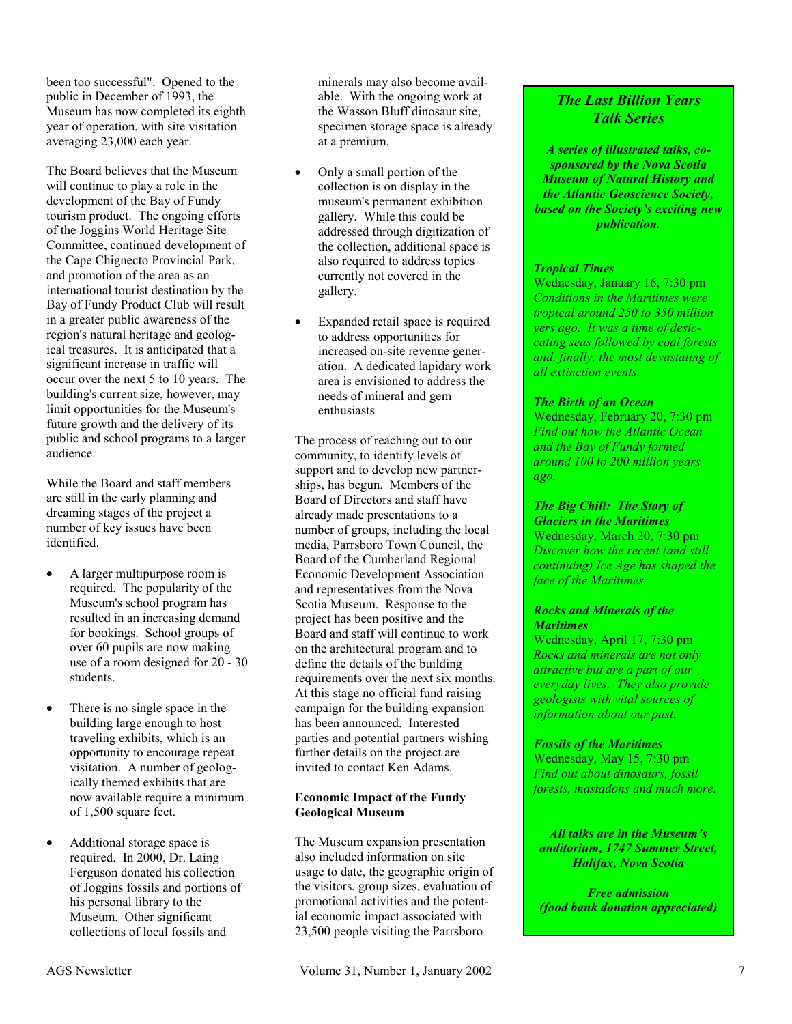been too successful". Opened to the public in December of 1993, the Museum has now completed its eighth year of operation, with site visitation averaging 23,000 each year.

The Board believes that the Museum will continue to play a role in the development of the Bay of Fundy tourism product. The ongoing efforts of the Joggins World Heritage Site Committee, continued development of the Cape Chignecto Provincial Park, and promotion of the area as an international tourist destination by the Bay of Fundy Product Club will result in a greater public awareness of the region's natural heritage and geological treasures. It is anticipated that a significant increase in traffic will occur over the next 5 to 10 years. The building's current size, however, may limit opportunities for the Museum's future growth and the delivery of its public and school programs to a larger audience.

While the Board and staff members are still in the early planning and dreaming stages of the project a number of key issues have been identified.

- - A larger multipurpose room is required. The popularity of the Museum's school program has resulted in an increasing demand for bookings. School groups of over 60 pupils are now making use of a room designed for 20 - 30 students.
- - There is no single space in the building large enough to host traveling exhibits, which is an opportunity to encourage repeat visitation. A number of geologically themed exhibits that are now available require a minimum of 1,500 square feet.
- - Additional storage space is required. In 2000, Dr. Laing Ferguson donated his collection of Joggins fossils and portions of his personal library to the Museum. Other significant collections of local fossils and

minerals may also become available. With the ongoing work at the Wasson Bluff dinosaur site, specimen storage space is already at a premium.

- $\bullet$  Only a small portion of the collection is on display in the museum's permanent exhibition gallery. While this could be addressed through digitization of the collection, additional space is also required to address topics currently not covered in the gallery.
- $\bullet$  Expanded retail space is required to address opportunities for increased on-site revenue generation. A dedicated lapidary work area is envisioned to address the needs of mineral and gem enthusiasts

The process of reaching out to our community, to identify levels of support and to develop new partnerships, has begun. Members of the Board of Directors and staff have already made presentations to a number of groups, including the local media, Parrsboro Town Council, the Board of the Cumberland Regional Economic Development Association and representatives from the Nova Scotia Museum. Response to the project has been positive and the Board and staff will continue to work on the architectural program and to define the details of the building requirements over the next six months. At this stage no official fund raising campaign for the building expansion has been announced. Interested parties and potential partners wishing further details on the project are invited to contact Ken Adams.

#### **Economic Impact of the Fundy Geological Museum**

The Museum expansion presentation also included information on site usage to date, the geographic origin of the visitors, group sizes, evaluation of promotional activities and the potential economic impact associated with 23,500 people visiting the Parrsboro

#### *The Last Billion Years Talk Series*

*A series of illustrated talks, cosponsored by the Nova Scotia Museum of Natural History and the Atlantic Geoscience Society, based on the Society's exciting new publication.* 

#### *Tropical Times*

Wednesday, January 16, 7:30 pm *Conditions in the Maritimes were tropical around 250 to 350 million yers ago. It was a time of desiccating seas followed by coal forests and, finally, the most devastating of all extinction events.* 

#### *The Birth of an Ocean*

Wednesday, February 20, 7:30 pm *Find out how the Atlantic Ocean and the Bay of Fundy formed around 100 to 200 million years ago.* 

#### *The Big Chill: The Story of Glaciers in the Maritimes*

Wednesday, March 20, 7:30 pm *Discover how the recent (and still continuing) Ice Age has shaped the face of the Maritimes.* 

#### *Rocks and Minerals of the Maritimes*

Wednesday, April 17, 7:30 pm *Rocks and minerals are not only attractive but are a part of our everyday lives. They also provide geologists with vital sources of information about our past.* 

#### *Fossils of the Maritimes*

Wednesday, May 15, 7:30 pm *Find out about dinosaurs, fossil forests, mastadons and much more.* 

#### *All talks are in the Museum's auditorium, 1747 Summer Street, Halifax, Nova Scotia*

*Free admission (food bank donation appreciated)*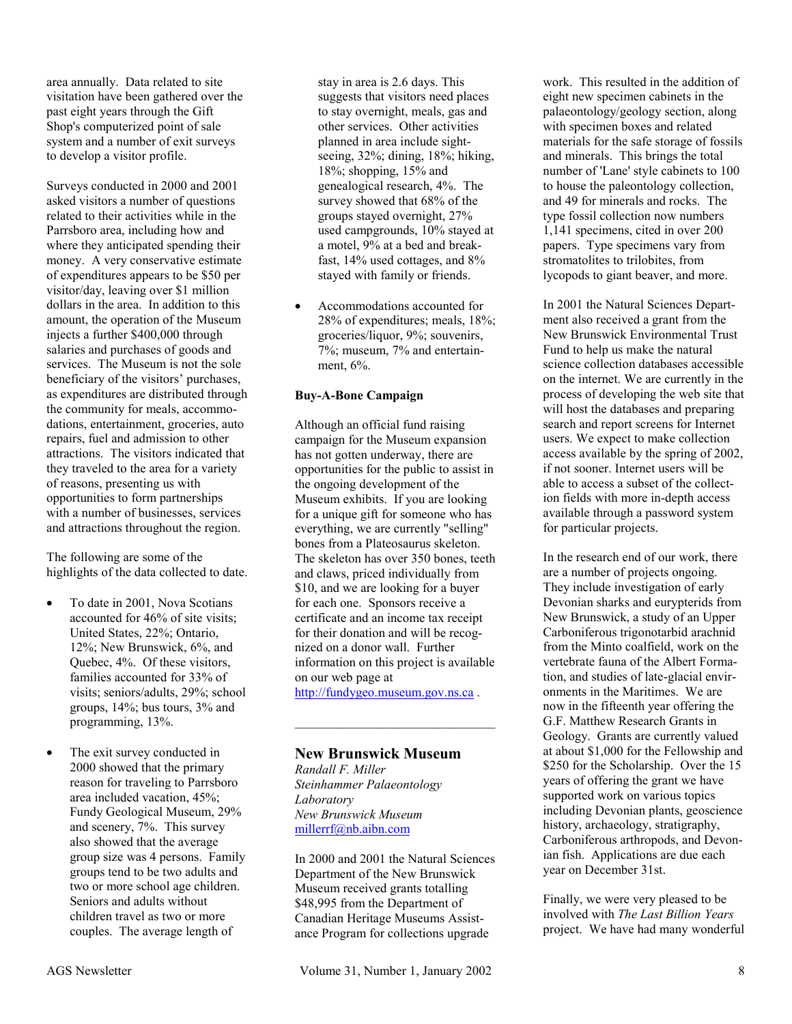area annually. Data related to site visitation have been gathered over the past eight years through the Gift Shop's computerized point of sale system and a number of exit surveys to develop a visitor profile.

Surveys conducted in 2000 and 2001 asked visitors a number of questions related to their activities while in the Parrsboro area, including how and where they anticipated spending their money. A very conservative estimate of expenditures appears to be \$50 per visitor/day, leaving over \$1 million dollars in the area. In addition to this amount, the operation of the Museum injects a further \$400,000 through salaries and purchases of goods and services. The Museum is not the sole beneficiary of the visitors' purchases, as expenditures are distributed through the community for meals, accommodations, entertainment, groceries, auto repairs, fuel and admission to other attractions. The visitors indicated that they traveled to the area for a variety of reasons, presenting us with opportunities to form partnerships with a number of businesses, services and attractions throughout the region.

The following are some of the highlights of the data collected to date.

- - To date in 2001, Nova Scotians accounted for 46% of site visits; United States, 22%; Ontario, 12%; New Brunswick, 6%, and Quebec, 4%. Of these visitors, families accounted for 33% of visits; seniors/adults, 29%; school groups, 14%; bus tours, 3% and programming, 13%.
- - The exit survey conducted in 2000 showed that the primary reason for traveling to Parrsboro area included vacation, 45%; Fundy Geological Museum, 29% and scenery, 7%. This survey also showed that the average group size was 4 persons. Family groups tend to be two adults and two or more school age children. Seniors and adults without children travel as two or more couples. The average length of

stay in area is 2.6 days. This suggests that visitors need places to stay overnight, meals, gas and other services. Other activities planned in area include sightseeing, 32%; dining, 18%; hiking, 18%; shopping, 15% and genealogical research, 4%. The survey showed that 68% of the groups stayed overnight, 27% used campgrounds, 10% stayed at a motel, 9% at a bed and breakfast, 14% used cottages, and 8% stayed with family or friends.

- Accommodations accounted for 28% of expenditures; meals, 18%; groceries/liquor, 9%; souvenirs, 7%; museum, 7% and entertainment, 6%.

#### **Buy-A-Bone Campaign**

Although an official fund raising campaign for the Museum expansion has not gotten underway, there are opportunities for the public to assist in the ongoing development of the Museum exhibits. If you are looking for a unique gift for someone who has everything, we are currently "selling" bones from a Plateosaurus skeleton. The skeleton has over 350 bones, teeth and claws, priced individually from \$10, and we are looking for a buyer for each one. Sponsors receive a certificate and an income tax receipt for their donation and will be recognized on a donor wall. Further information on this project is available on our web page at http://fundygeo.museum.gov.ns.ca .

 $\mathcal{L}_\text{max}$  , and the set of the set of the set of the set of the set of the set of the set of the set of the set of the set of the set of the set of the set of the set of the set of the set of the set of the set of the

**New Brunswick Museum**  *Randall F. Miller Steinhammer Palaeontology Laboratory New Brunswick Museum*  millerrf@nb.aibn.com

In 2000 and 2001 the Natural Sciences Department of the New Brunswick Museum received grants totalling \$48,995 from the Department of Canadian Heritage Museums Assistance Program for collections upgrade

work. This resulted in the addition of eight new specimen cabinets in the palaeontology/geology section, along with specimen boxes and related materials for the safe storage of fossils and minerals. This brings the total number of 'Lane' style cabinets to 100 to house the paleontology collection, and 49 for minerals and rocks. The type fossil collection now numbers 1,141 specimens, cited in over 200 papers. Type specimens vary from stromatolites to trilobites, from lycopods to giant beaver, and more.

In 2001 the Natural Sciences Department also received a grant from the New Brunswick Environmental Trust Fund to help us make the natural science collection databases accessible on the internet. We are currently in the process of developing the web site that will host the databases and preparing search and report screens for Internet users. We expect to make collection access available by the spring of 2002, if not sooner. Internet users will be able to access a subset of the collection fields with more in-depth access available through a password system for particular projects.

In the research end of our work, there are a number of projects ongoing. They include investigation of early Devonian sharks and eurypterids from New Brunswick, a study of an Upper Carboniferous trigonotarbid arachnid from the Minto coalfield, work on the vertebrate fauna of the Albert Formation, and studies of late-glacial environments in the Maritimes. We are now in the fifteenth year offering the G.F. Matthew Research Grants in Geology. Grants are currently valued at about \$1,000 for the Fellowship and \$250 for the Scholarship. Over the 15 years of offering the grant we have supported work on various topics including Devonian plants, geoscience history, archaeology, stratigraphy, Carboniferous arthropods, and Devonian fish. Applications are due each year on December 31st.

Finally, we were very pleased to be involved with *The Last Billion Years*  project. We have had many wonderful